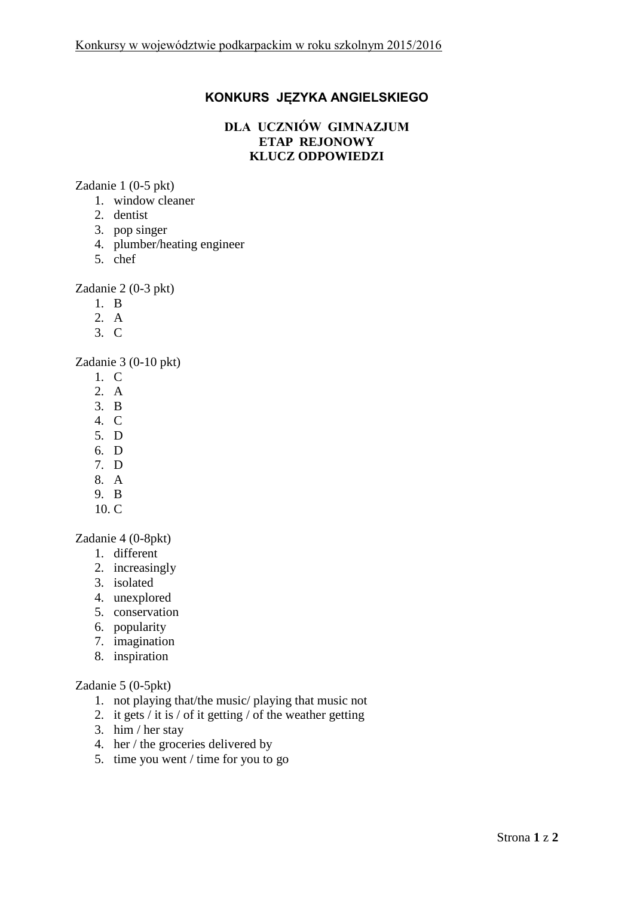## **KONKURS JĘZYKA ANGIELSKIEGO**

## **DLA UCZNIÓW GIMNAZJUM ETAP REJONOWY KLUCZ ODPOWIEDZI**

Zadanie 1 (0-5 pkt)

- 1. window cleaner
- 2. dentist
- 3. pop singer
- 4. plumber/heating engineer
- 5. chef

Zadanie 2 (0-3 pkt)

- 1. B
- 2. A
- 3. C

Zadanie 3 (0-10 pkt)

- 1. C
- 2. A
- 3. B
- 4. C
- 5. D
- 6. D
- 7. D
- 8. A
- 9. B 10. C
- 

Zadanie 4 (0-8pkt)

- 1. different
- 2. increasingly
- 3. isolated
- 4. unexplored
- 5. conservation
- 6. popularity
- 7. imagination
- 8. inspiration

## Zadanie 5 (0-5pkt)

- 1. not playing that/the music/ playing that music not
- 2. it gets / it is / of it getting / of the weather getting
- 3. him / her stay
- 4. her / the groceries delivered by
- 5. time you went / time for you to go